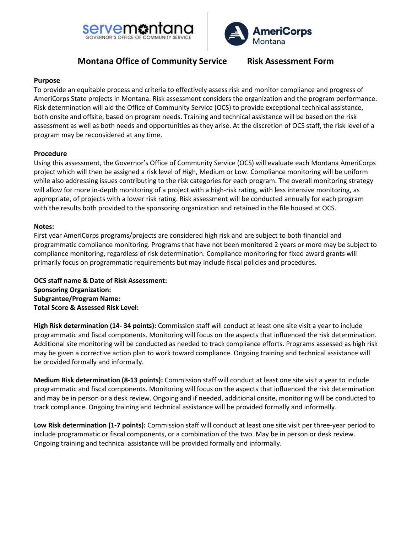



# **Montana Office of Community Service Risk Assessment Form**

### **Purpose**

To provide an equitable process and criteria to effectively assess risk and monitor compliance and progress of AmeriCorps State projects in Montana. Risk assessment considers the organization and the program performance. Risk determination will aid the Office of Community Service (OCS) to provide exceptional technical assistance, both onsite and offsite, based on program needs. Training and technical assistance will be based on the risk assessment as well as both needs and opportunities as they arise. At the discretion of OCS staff, the risk level of a program may be reconsidered at any time.

### **Procedure**

Using this assessment, the Governor's Office of Community Service (OCS) will evaluate each Montana AmeriCorps project which will then be assigned a risk level of High, Medium or Low. Compliance monitoring will be uniform while also addressing issues contributing to the risk categories for each program. The overall monitoring strategy will allow for more in-depth monitoring of a project with a high-risk rating, with less intensive monitoring, as appropriate, of projects with a lower risk rating. Risk assessment will be conducted annually for each program with the results both provided to the sponsoring organization and retained in the file housed at OCS.

### **Notes:**

First year AmeriCorps programs/projects are considered high risk and are subject to both financial and programmatic compliance monitoring. Programs that have not been monitored 2 years or more may be subject to compliance monitoring, regardless of risk determination. Compliance monitoring for fixed award grants will primarily focus on programmatic requirements but may include fiscal policies and procedures.

**OCS staff name & Date of Risk Assessment: Sponsoring Organization: Subgrantee/Program Name: Total Score & Assessed Risk Level:** 

**High Risk determination (14- 34 points):** Commission staff will conduct at least one site visit a year to include programmatic and fiscal components. Monitoring will focus on the aspects that influenced the risk determination. Additional site monitoring will be conducted as needed to track compliance efforts. Programs assessed as high risk may be given a corrective action plan to work toward compliance. Ongoing training and technical assistance will be provided formally and informally.

**Medium Risk determination (8-13 points):** Commission staff will conduct at least one site visit a year to include programmatic and fiscal components. Monitoring will focus on the aspects that influenced the risk determination and may be in person or a desk review. Ongoing and if needed, additional onsite, monitoring will be conducted to track compliance. Ongoing training and technical assistance will be provided formally and informally.

**Low Risk determination (1-7 points):** Commission staff will conduct at least one site visit per three-year period to include programmatic or fiscal components, or a combination of the two. May be in person or desk review. Ongoing training and technical assistance will be provided formally and informally.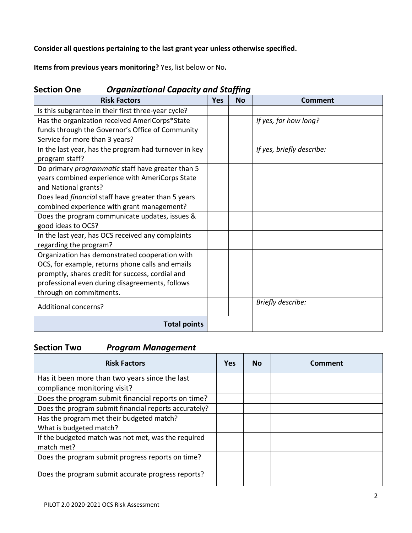**Consider all questions pertaining to the last grant year unless otherwise specified.**

**Items from previous years monitoring?** Yes, list below or No**.**

| דייות הר<br>organizational capacity and staffing           |            |           |                           |  |  |  |  |  |
|------------------------------------------------------------|------------|-----------|---------------------------|--|--|--|--|--|
| <b>Risk Factors</b>                                        | <b>Yes</b> | <b>No</b> | Comment                   |  |  |  |  |  |
| Is this subgrantee in their first three-year cycle?        |            |           |                           |  |  |  |  |  |
| Has the organization received AmeriCorps*State             |            |           | If yes, for how long?     |  |  |  |  |  |
| funds through the Governor's Office of Community           |            |           |                           |  |  |  |  |  |
| Service for more than 3 years?                             |            |           |                           |  |  |  |  |  |
| In the last year, has the program had turnover in key      |            |           | If yes, briefly describe: |  |  |  |  |  |
| program staff?                                             |            |           |                           |  |  |  |  |  |
| Do primary programmatic staff have greater than 5          |            |           |                           |  |  |  |  |  |
| years combined experience with AmeriCorps State            |            |           |                           |  |  |  |  |  |
| and National grants?                                       |            |           |                           |  |  |  |  |  |
| Does lead <i>financial</i> staff have greater than 5 years |            |           |                           |  |  |  |  |  |
| combined experience with grant management?                 |            |           |                           |  |  |  |  |  |
| Does the program communicate updates, issues &             |            |           |                           |  |  |  |  |  |
| good ideas to OCS?                                         |            |           |                           |  |  |  |  |  |
| In the last year, has OCS received any complaints          |            |           |                           |  |  |  |  |  |
| regarding the program?                                     |            |           |                           |  |  |  |  |  |
| Organization has demonstrated cooperation with             |            |           |                           |  |  |  |  |  |
| OCS, for example, returns phone calls and emails           |            |           |                           |  |  |  |  |  |
| promptly, shares credit for success, cordial and           |            |           |                           |  |  |  |  |  |
| professional even during disagreements, follows            |            |           |                           |  |  |  |  |  |
| through on commitments.                                    |            |           |                           |  |  |  |  |  |
| <b>Additional concerns?</b>                                |            |           | Briefly describe:         |  |  |  |  |  |
| <b>Total points</b>                                        |            |           |                           |  |  |  |  |  |

## **Section One** *Organizational Capacity and Staffing*

## **Section Two** *Program Management*

| <b>Risk Factors</b>                                   | <b>Yes</b> | <b>No</b> | Comment |
|-------------------------------------------------------|------------|-----------|---------|
| Has it been more than two years since the last        |            |           |         |
| compliance monitoring visit?                          |            |           |         |
| Does the program submit financial reports on time?    |            |           |         |
| Does the program submit financial reports accurately? |            |           |         |
| Has the program met their budgeted match?             |            |           |         |
| What is budgeted match?                               |            |           |         |
| If the budgeted match was not met, was the required   |            |           |         |
| match met?                                            |            |           |         |
| Does the program submit progress reports on time?     |            |           |         |
| Does the program submit accurate progress reports?    |            |           |         |